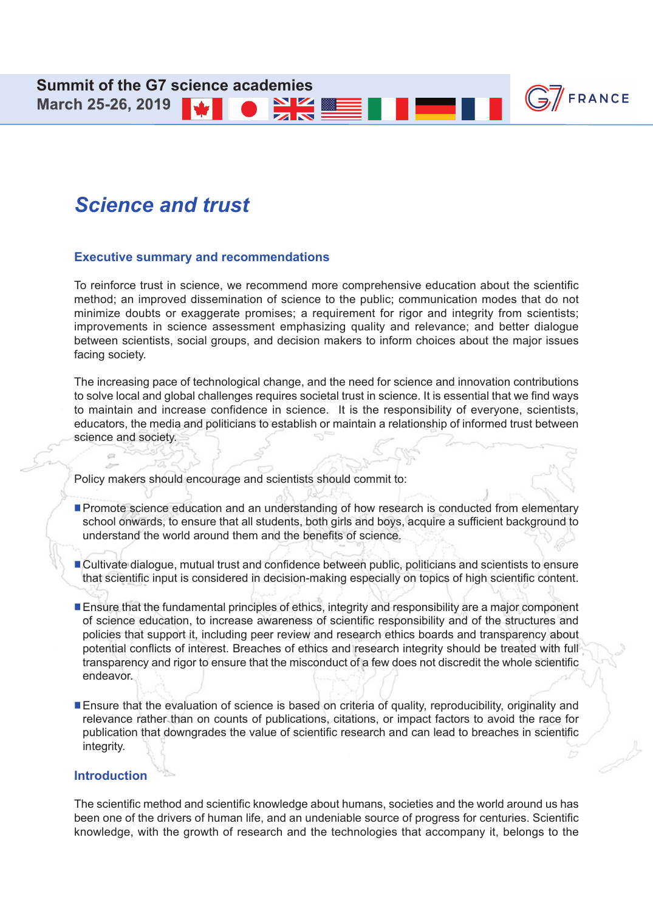**March 25-26, 2019** 

# *Science and trust*

#### **Executive summary and recommendations**

To reinforce trust in science, we recommend more comprehensive education about the scientific method; an improved dissemination of science to the public; communication modes that do not minimize doubts or exaggerate promises; a requirement for rigor and integrity from scientists; improvements in science assessment emphasizing quality and relevance; and better dialogue between scientists, social groups, and decision makers to inform choices about the major issues facing society.

NV Z

 $\mathbb{G}$ /FRANCE

The increasing pace of technological change, and the need for science and innovation contributions to solve local and global challenges requires societal trust in science. It is essential that we find ways to maintain and increase confidence in science. It is the responsibility of everyone, scientists, educators, the media and politicians to establish or maintain a relationship of informed trust between science and society.

Policy makers should encourage and scientists should commit to:

- **Promote science education and an understanding of how research is conducted from elementary** school onwards, to ensure that all students, both girls and boys, acquire a sufficient background to understand the world around them and the benefits of science.
- n Cultivate dialogue, mutual trust and confidence between public, politicians and scientists to ensure that scientific input is considered in decision-making especially on topics of high scientific content.
- **Ensure that the fundamental principles of ethics, integrity and responsibility are a major component** of science education, to increase awareness of scientific responsibility and of the structures and policies that support it, including peer review and research ethics boards and transparency about potential conflicts of interest. Breaches of ethics and research integrity should be treated with full transparency and rigor to ensure that the misconduct of a few does not discredit the whole scientific endeavor.
- Ensure that the evaluation of science is based on criteria of quality, reproducibility, originality and relevance rather than on counts of publications, citations, or impact factors to avoid the race for publication that downgrades the value of scientific research and can lead to breaches in scientific integrity.

#### **Introduction**

The scientific method and scientific knowledge about humans, societies and the world around us has been one of the drivers of human life, and an undeniable source of progress for centuries. Scientific knowledge, with the growth of research and the technologies that accompany it, belongs to the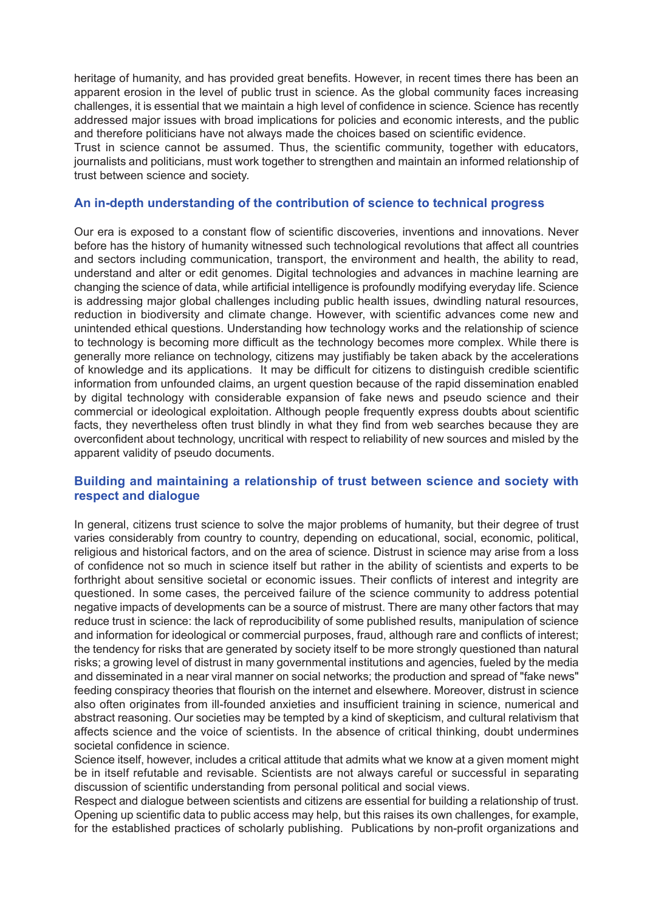heritage of humanity, and has provided great benefits. However, in recent times there has been an apparent erosion in the level of public trust in science. As the global community faces increasing challenges, it is essential that we maintain a high level of confidence in science. Science has recently addressed major issues with broad implications for policies and economic interests, and the public and therefore politicians have not always made the choices based on scientific evidence.

Trust in science cannot be assumed. Thus, the scientific community, together with educators, journalists and politicians, must work together to strengthen and maintain an informed relationship of trust between science and society.

#### **An in-depth understanding of the contribution of science to technical progress**

Our era is exposed to a constant flow of scientific discoveries, inventions and innovations. Never before has the history of humanity witnessed such technological revolutions that affect all countries and sectors including communication, transport, the environment and health, the ability to read, understand and alter or edit genomes. Digital technologies and advances in machine learning are changing the science of data, while artificial intelligence is profoundly modifying everyday life. Science is addressing major global challenges including public health issues, dwindling natural resources, reduction in biodiversity and climate change. However, with scientific advances come new and unintended ethical questions. Understanding how technology works and the relationship of science to technology is becoming more difficult as the technology becomes more complex. While there is generally more reliance on technology, citizens may justifiably be taken aback by the accelerations of knowledge and its applications. It may be difficult for citizens to distinguish credible scientific information from unfounded claims, an urgent question because of the rapid dissemination enabled by digital technology with considerable expansion of fake news and pseudo science and their commercial or ideological exploitation. Although people frequently express doubts about scientific facts, they nevertheless often trust blindly in what they find from web searches because they are overconfident about technology, uncritical with respect to reliability of new sources and misled by the apparent validity of pseudo documents.

# **Building and maintaining a relationship of trust between science and society with respect and dialogue**

In general, citizens trust science to solve the major problems of humanity, but their degree of trust varies considerably from country to country, depending on educational, social, economic, political, religious and historical factors, and on the area of science. Distrust in science may arise from a loss of confidence not so much in science itself but rather in the ability of scientists and experts to be forthright about sensitive societal or economic issues. Their conflicts of interest and integrity are questioned. In some cases, the perceived failure of the science community to address potential negative impacts of developments can be a source of mistrust. There are many other factors that may reduce trust in science: the lack of reproducibility of some published results, manipulation of science and information for ideological or commercial purposes, fraud, although rare and conflicts of interest; the tendency for risks that are generated by society itself to be more strongly questioned than natural risks; a growing level of distrust in many governmental institutions and agencies, fueled by the media and disseminated in a near viral manner on social networks; the production and spread of "fake news" feeding conspiracy theories that flourish on the internet and elsewhere. Moreover, distrust in science also often originates from ill-founded anxieties and insufficient training in science, numerical and abstract reasoning. Our societies may be tempted by a kind of skepticism, and cultural relativism that affects science and the voice of scientists. In the absence of critical thinking, doubt undermines societal confidence in science.

Science itself, however, includes a critical attitude that admits what we know at a given moment might be in itself refutable and revisable. Scientists are not always careful or successful in separating discussion of scientific understanding from personal political and social views.

Respect and dialogue between scientists and citizens are essential for building a relationship of trust. Opening up scientific data to public access may help, but this raises its own challenges, for example, for the established practices of scholarly publishing. Publications by non-profit organizations and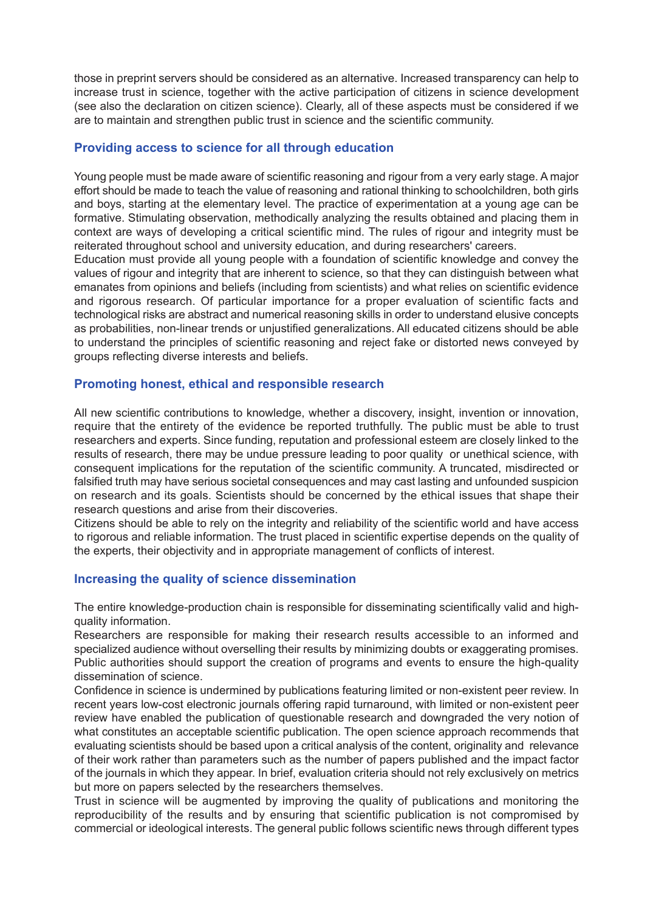those in preprint servers should be considered as an alternative. Increased transparency can help to increase trust in science, together with the active participation of citizens in science development (see also the declaration on citizen science). Clearly, all of these aspects must be considered if we are to maintain and strengthen public trust in science and the scientific community.

#### **Providing access to science for all through education**

Young people must be made aware of scientific reasoning and rigour from a very early stage. A major effort should be made to teach the value of reasoning and rational thinking to schoolchildren, both girls and boys, starting at the elementary level. The practice of experimentation at a young age can be formative. Stimulating observation, methodically analyzing the results obtained and placing them in context are ways of developing a critical scientific mind. The rules of rigour and integrity must be reiterated throughout school and university education, and during researchers' careers.

Education must provide all young people with a foundation of scientific knowledge and convey the values of rigour and integrity that are inherent to science, so that they can distinguish between what emanates from opinions and beliefs (including from scientists) and what relies on scientific evidence and rigorous research. Of particular importance for a proper evaluation of scientific facts and technological risks are abstract and numerical reasoning skills in order to understand elusive concepts as probabilities, non-linear trends or unjustified generalizations. All educated citizens should be able to understand the principles of scientific reasoning and reject fake or distorted news conveyed by groups reflecting diverse interests and beliefs.

## **Promoting honest, ethical and responsible research**

All new scientific contributions to knowledge, whether a discovery, insight, invention or innovation, require that the entirety of the evidence be reported truthfully. The public must be able to trust researchers and experts. Since funding, reputation and professional esteem are closely linked to the results of research, there may be undue pressure leading to poor quality or unethical science, with consequent implications for the reputation of the scientific community. A truncated, misdirected or falsified truth may have serious societal consequences and may cast lasting and unfounded suspicion on research and its goals. Scientists should be concerned by the ethical issues that shape their research questions and arise from their discoveries.

Citizens should be able to rely on the integrity and reliability of the scientific world and have access to rigorous and reliable information. The trust placed in scientific expertise depends on the quality of the experts, their objectivity and in appropriate management of conflicts of interest.

# **Increasing the quality of science dissemination**

The entire knowledge-production chain is responsible for disseminating scientifically valid and highquality information.

Researchers are responsible for making their research results accessible to an informed and specialized audience without overselling their results by minimizing doubts or exaggerating promises. Public authorities should support the creation of programs and events to ensure the high-quality dissemination of science.

Confidence in science is undermined by publications featuring limited or non-existent peer review. In recent years low-cost electronic journals offering rapid turnaround, with limited or non-existent peer review have enabled the publication of questionable research and downgraded the very notion of what constitutes an acceptable scientific publication. The open science approach recommends that evaluating scientists should be based upon a critical analysis of the content, originality and relevance of their work rather than parameters such as the number of papers published and the impact factor of the journals in which they appear. In brief, evaluation criteria should not rely exclusively on metrics but more on papers selected by the researchers themselves.

Trust in science will be augmented by improving the quality of publications and monitoring the reproducibility of the results and by ensuring that scientific publication is not compromised by commercial or ideological interests. The general public follows scientific news through different types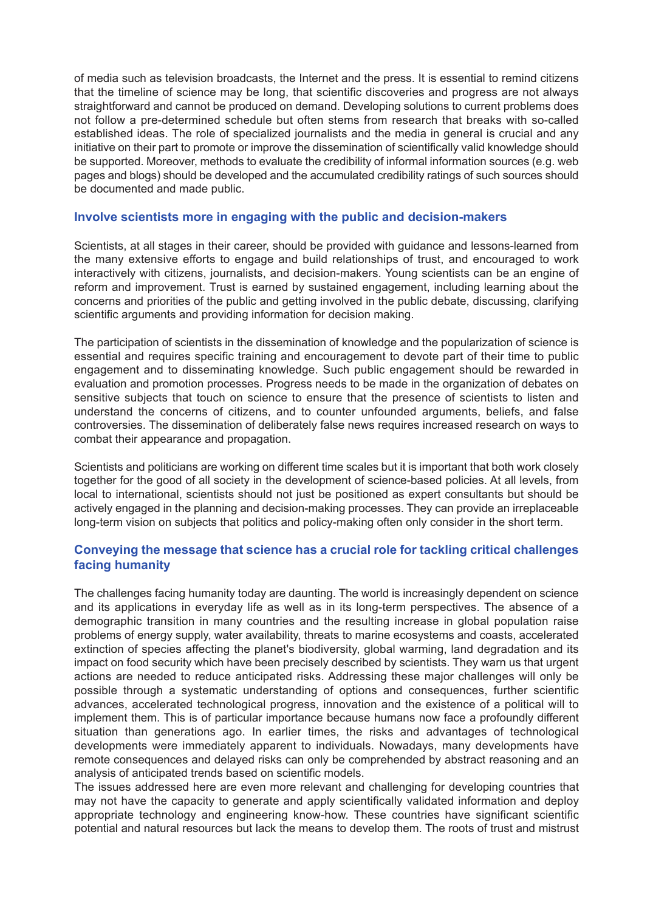of media such as television broadcasts, the Internet and the press. It is essential to remind citizens that the timeline of science may be long, that scientific discoveries and progress are not always straightforward and cannot be produced on demand. Developing solutions to current problems does not follow a pre-determined schedule but often stems from research that breaks with so-called established ideas. The role of specialized journalists and the media in general is crucial and any initiative on their part to promote or improve the dissemination of scientifically valid knowledge should be supported. Moreover, methods to evaluate the credibility of informal information sources (e.g. web pages and blogs) should be developed and the accumulated credibility ratings of such sources should be documented and made public.

#### **Involve scientists more in engaging with the public and decision-makers**

Scientists, at all stages in their career, should be provided with guidance and lessons-learned from the many extensive efforts to engage and build relationships of trust, and encouraged to work interactively with citizens, journalists, and decision-makers. Young scientists can be an engine of reform and improvement. Trust is earned by sustained engagement, including learning about the concerns and priorities of the public and getting involved in the public debate, discussing, clarifying scientific arguments and providing information for decision making.

The participation of scientists in the dissemination of knowledge and the popularization of science is essential and requires specific training and encouragement to devote part of their time to public engagement and to disseminating knowledge. Such public engagement should be rewarded in evaluation and promotion processes. Progress needs to be made in the organization of debates on sensitive subjects that touch on science to ensure that the presence of scientists to listen and understand the concerns of citizens, and to counter unfounded arguments, beliefs, and false controversies. The dissemination of deliberately false news requires increased research on ways to combat their appearance and propagation.

Scientists and politicians are working on different time scales but it is important that both work closely together for the good of all society in the development of science-based policies. At all levels, from local to international, scientists should not just be positioned as expert consultants but should be actively engaged in the planning and decision-making processes. They can provide an irreplaceable long-term vision on subjects that politics and policy-making often only consider in the short term.

## **Conveying the message that science has a crucial role for tackling critical challenges facing humanity**

The challenges facing humanity today are daunting. The world is increasingly dependent on science and its applications in everyday life as well as in its long-term perspectives. The absence of a demographic transition in many countries and the resulting increase in global population raise problems of energy supply, water availability, threats to marine ecosystems and coasts, accelerated extinction of species affecting the planet's biodiversity, global warming, land degradation and its impact on food security which have been precisely described by scientists. They warn us that urgent actions are needed to reduce anticipated risks. Addressing these major challenges will only be possible through a systematic understanding of options and consequences, further scientific advances, accelerated technological progress, innovation and the existence of a political will to implement them. This is of particular importance because humans now face a profoundly different situation than generations ago. In earlier times, the risks and advantages of technological developments were immediately apparent to individuals. Nowadays, many developments have remote consequences and delayed risks can only be comprehended by abstract reasoning and an analysis of anticipated trends based on scientific models.

The issues addressed here are even more relevant and challenging for developing countries that may not have the capacity to generate and apply scientifically validated information and deploy appropriate technology and engineering know-how. These countries have significant scientific potential and natural resources but lack the means to develop them. The roots of trust and mistrust